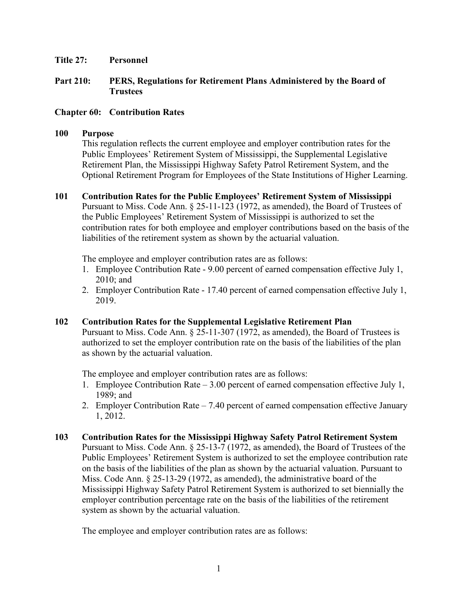## **Title 27: Personnel**

# **Part 210: PERS, Regulations for Retirement Plans Administered by the Board of Trustees**

# **Chapter 60: Contribution Rates**

#### **100 Purpose**

This regulation reflects the current employee and employer contribution rates for the Public Employees' Retirement System of Mississippi, the Supplemental Legislative Retirement Plan, the Mississippi Highway Safety Patrol Retirement System, and the Optional Retirement Program for Employees of the State Institutions of Higher Learning.

**101 Contribution Rates for the Public Employees' Retirement System of Mississippi**  Pursuant to Miss. Code Ann. § 25-11-123 (1972, as amended), the Board of Trustees of the Public Employees' Retirement System of Mississippi is authorized to set the contribution rates for both employee and employer contributions based on the basis of the liabilities of the retirement system as shown by the actuarial valuation.

The employee and employer contribution rates are as follows:

- 1. Employee Contribution Rate 9.00 percent of earned compensation effective July 1, 2010; and
- 2. Employer Contribution Rate 17.40 percent of earned compensation effective July 1, 2019.

# **102 Contribution Rates for the Supplemental Legislative Retirement Plan**

Pursuant to Miss. Code Ann. § 25-11-307 (1972, as amended), the Board of Trustees is authorized to set the employer contribution rate on the basis of the liabilities of the plan as shown by the actuarial valuation.

The employee and employer contribution rates are as follows:

- 1. Employee Contribution Rate 3.00 percent of earned compensation effective July 1, 1989; and
- 2. Employer Contribution Rate 7.40 percent of earned compensation effective January 1, 2012.
- **103 Contribution Rates for the Mississippi Highway Safety Patrol Retirement System**  Pursuant to Miss. Code Ann. § 25-13-7 (1972, as amended), the Board of Trustees of the Public Employees' Retirement System is authorized to set the employee contribution rate on the basis of the liabilities of the plan as shown by the actuarial valuation. Pursuant to Miss. Code Ann. § 25-13-29 (1972, as amended), the administrative board of the Mississippi Highway Safety Patrol Retirement System is authorized to set biennially the employer contribution percentage rate on the basis of the liabilities of the retirement system as shown by the actuarial valuation.

The employee and employer contribution rates are as follows: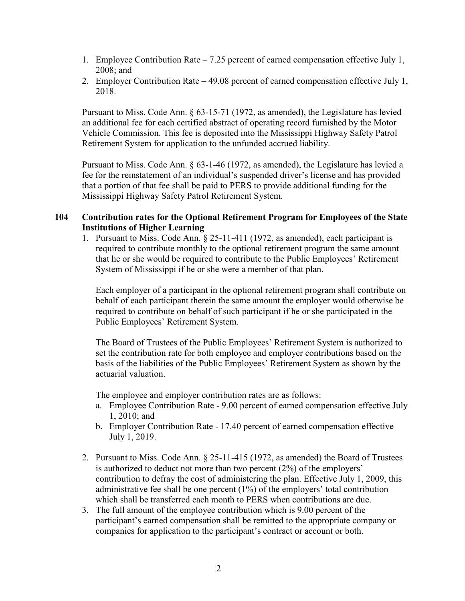- 1. Employee Contribution Rate 7.25 percent of earned compensation effective July 1, 2008; and
- 2. Employer Contribution Rate 49.08 percent of earned compensation effective July 1, 2018.

Pursuant to Miss. Code Ann. § 63-15-71 (1972, as amended), the Legislature has levied an additional fee for each certified abstract of operating record furnished by the Motor Vehicle Commission. This fee is deposited into the Mississippi Highway Safety Patrol Retirement System for application to the unfunded accrued liability.

Pursuant to Miss. Code Ann. § 63-1-46 (1972, as amended), the Legislature has levied a fee for the reinstatement of an individual's suspended driver's license and has provided that a portion of that fee shall be paid to PERS to provide additional funding for the Mississippi Highway Safety Patrol Retirement System.

## **104 Contribution rates for the Optional Retirement Program for Employees of the State Institutions of Higher Learning**

1. Pursuant to Miss. Code Ann. § 25-11-411 (1972, as amended), each participant is required to contribute monthly to the optional retirement program the same amount that he or she would be required to contribute to the Public Employees' Retirement System of Mississippi if he or she were a member of that plan.

Each employer of a participant in the optional retirement program shall contribute on behalf of each participant therein the same amount the employer would otherwise be required to contribute on behalf of such participant if he or she participated in the Public Employees' Retirement System.

The Board of Trustees of the Public Employees' Retirement System is authorized to set the contribution rate for both employee and employer contributions based on the basis of the liabilities of the Public Employees' Retirement System as shown by the actuarial valuation.

The employee and employer contribution rates are as follows:

- a. Employee Contribution Rate 9.00 percent of earned compensation effective July 1, 2010; and
- b. Employer Contribution Rate 17.40 percent of earned compensation effective July 1, 2019.
- 2. Pursuant to Miss. Code Ann. § 25-11-415 (1972, as amended) the Board of Trustees is authorized to deduct not more than two percent (2%) of the employers' contribution to defray the cost of administering the plan. Effective July 1, 2009, this administrative fee shall be one percent (1%) of the employers' total contribution which shall be transferred each month to PERS when contributions are due.
- 3. The full amount of the employee contribution which is 9.00 percent of the participant's earned compensation shall be remitted to the appropriate company or companies for application to the participant's contract or account or both.